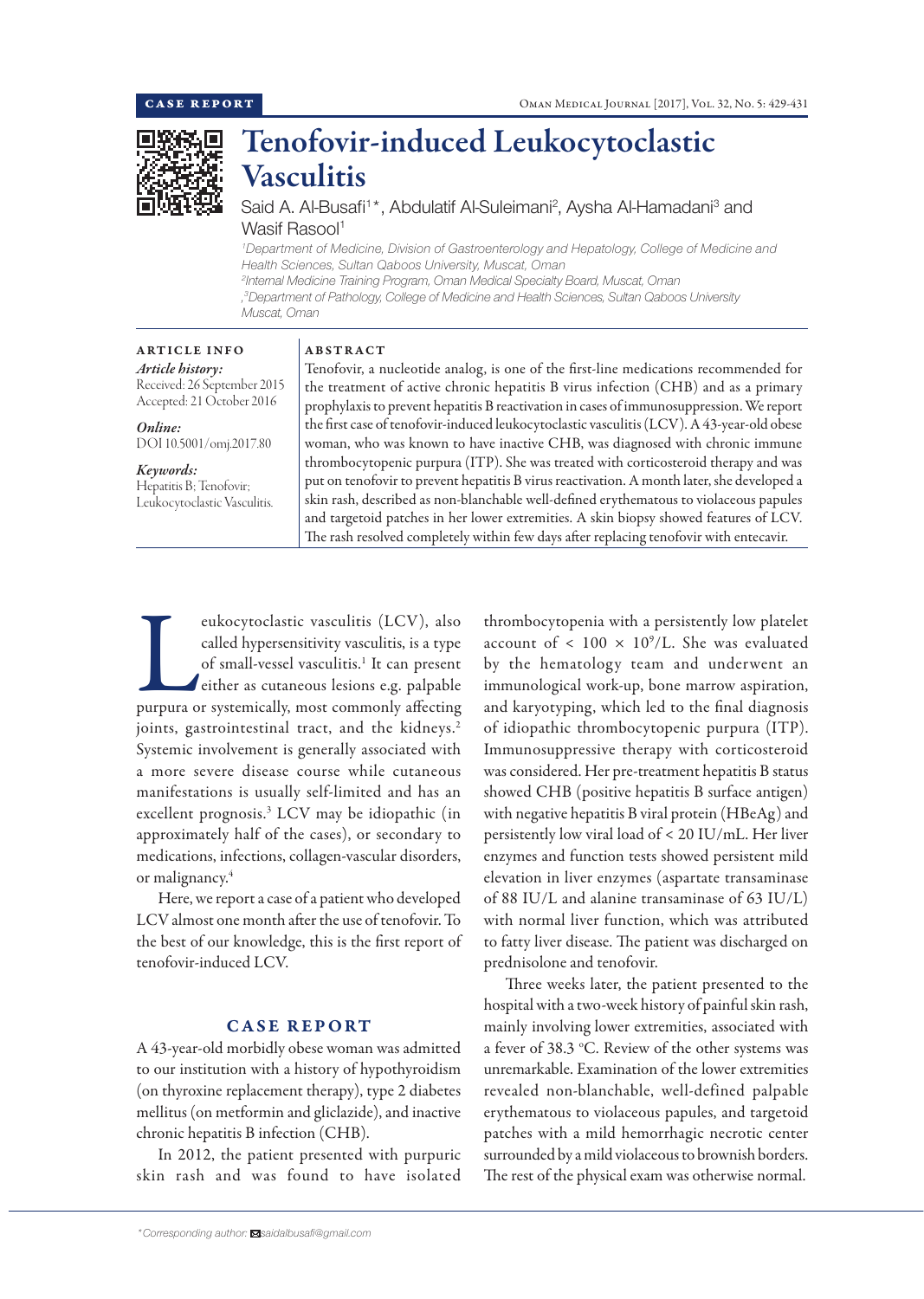

# Tenofovir-induced Leukocytoclastic Vasculitis

Said A. Al-Busafi<sup>1\*</sup>, Abdulatif Al-Suleimani<sup>2</sup>, Aysha Al-Hamadani<sup>3</sup> and Wasif Rasool<sup>1</sup>

*1 Department of Medicine, Division of Gastroenterology and Hepatology, College of Medicine and Health Sciences, Sultan Qaboos University, Muscat, Oman 2 Internal Medicine Training Program, Oman Medical Specialty Board, Muscat, Oman , 3 Department of Pathology, College of Medicine and Health Sciences, Sultan Qaboos University Muscat, Oman*

#### ARTICLE INFO *Article history:*

Received: 26 September 2015 Accepted: 21 October 2016

*Online:* DOI 10.5001/omj.2017.80

*Keywords:*  Hepatitis B; Tenofovir; Leukocytoclastic Vasculitis.

## ABSTRACT

Tenofovir, a nucleotide analog, is one of the first-line medications recommended for the treatment of active chronic hepatitis B virus infection (CHB) and as a primary prophylaxis to prevent hepatitis B reactivation in cases of immunosuppression. We report the first case of tenofovir-induced leukocytoclastic vasculitis (LCV). A 43-year-old obese woman, who was known to have inactive CHB, was diagnosed with chronic immune thrombocytopenic purpura (ITP). She was treated with corticosteroid therapy and was put on tenofovir to prevent hepatitis B virus reactivation. A month later, she developed a skin rash, described as non-blanchable well-defined erythematous to violaceous papules and targetoid patches in her lower extremities. A skin biopsy showed features of LCV. The rash resolved completely within few days after replacing tenofovir with entecavir.

eukocytoclastic vasculitis (LCV), also called hypersensitivity vasculitis, is a type of small-vessel vasculitis.<sup>1</sup> It can present either as cutaneous lesions e.g. palpable purpura or systemically, most commonly affecting called hypersensitivity vasculitis, is a type of small-vessel vasculitis.<sup>1</sup> It can present either as cutaneous lesions e.g. palpable joints, gastrointestinal tract, and the kidneys.<sup>2</sup> Systemic involvement is generally associated with a more severe disease course while cutaneous manifestations is usually self-limited and has an excellent prognosis.3 LCV may be idiopathic (in approximately half of the cases), or secondary to medications, infections, collagen-vascular disorders, or malignancy.<sup>4</sup>

Here, we report a case of a patient who developed LCV almost one month after the use of tenofovir. To the best of our knowledge, this is the first report of tenofovir-induced LCV.

## CASE REPORT

A 43-year-old morbidly obese woman was admitted to our institution with a history of hypothyroidism (on thyroxine replacement therapy), type 2 diabetes mellitus (on metformin and gliclazide), and inactive chronic hepatitis B infection (CHB).

In 2012, the patient presented with purpuric skin rash and was found to have isolated

*\*Corresponding author: saidalbusafi@gmail.com*

thrombocytopenia with a persistently low platelet account of <  $100 \times 10^9$ /L. She was evaluated by the hematology team and underwent an immunological work-up, bone marrow aspiration, and karyotyping, which led to the final diagnosis of idiopathic thrombocytopenic purpura (ITP). Immunosuppressive therapy with corticosteroid was considered. Her pre-treatment hepatitis B status showed CHB (positive hepatitis B surface antigen) with negative hepatitis B viral protein (HBeAg) and persistently low viral load of < 20 IU/mL. Her liver enzymes and function tests showed persistent mild elevation in liver enzymes (aspartate transaminase of 88 IU/L and alanine transaminase of 63 IU/L) with normal liver function, which was attributed to fatty liver disease. The patient was discharged on prednisolone and tenofovir.

Three weeks later, the patient presented to the hospital with a two-week history of painful skin rash, mainly involving lower extremities, associated with a fever of 38.3 °C. Review of the other systems was unremarkable. Examination of the lower extremities revealed non-blanchable, well-defined palpable erythematous to violaceous papules, and targetoid patches with a mild hemorrhagic necrotic center surrounded by a mild violaceous to brownish borders. The rest of the physical exam was otherwise normal.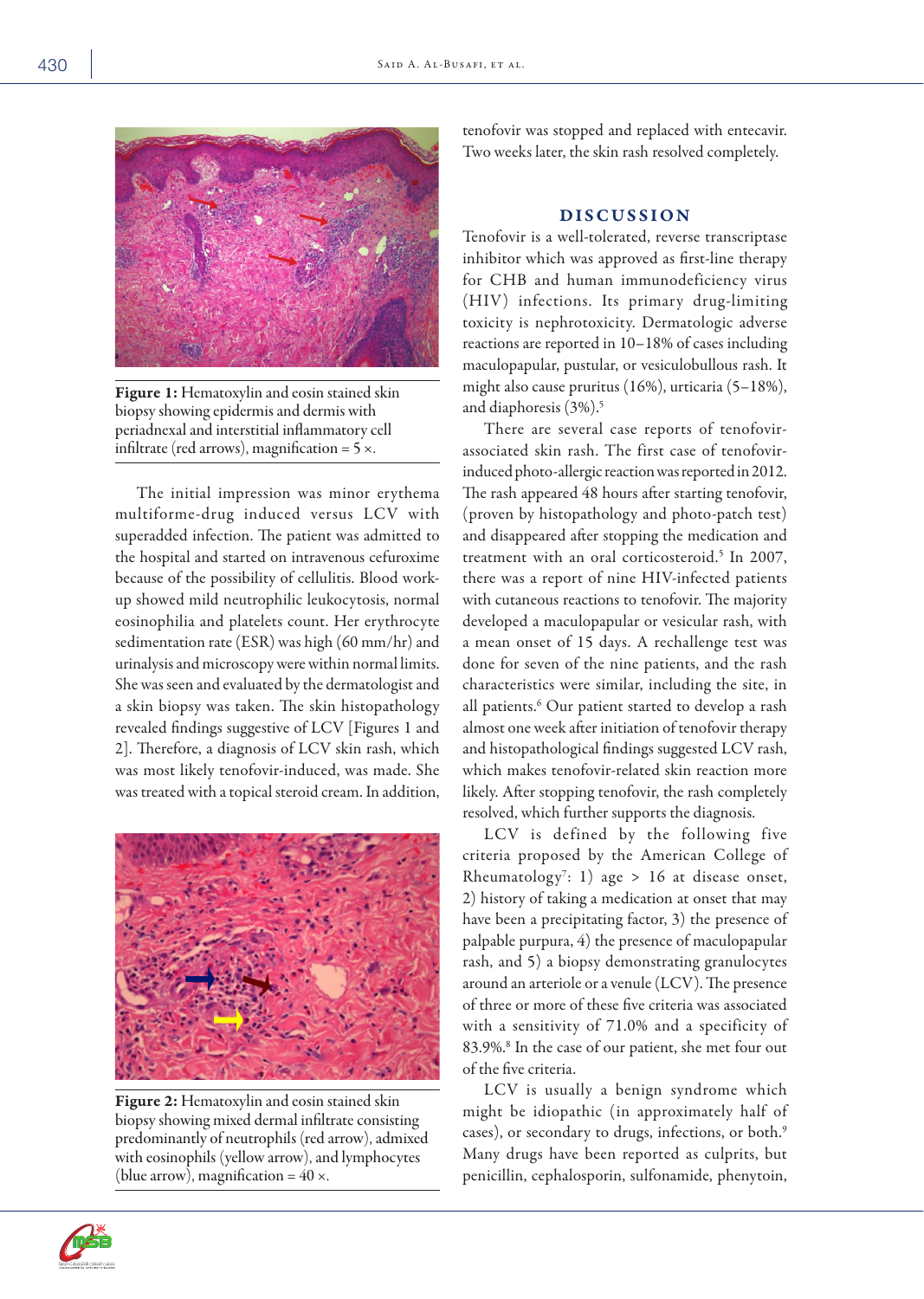

Figure 1: Hematoxylin and eosin stained skin biopsy showing epidermis and dermis with periadnexal and interstitial inflammatory cell infiltrate (red arrows), magnification =  $5 \times$ .

The initial impression was minor erythema multiforme-drug induced versus LCV with superadded infection. The patient was admitted to the hospital and started on intravenous cefuroxime because of the possibility of cellulitis. Blood workup showed mild neutrophilic leukocytosis, normal eosinophilia and platelets count. Her erythrocyte sedimentation rate (ESR) was high (60 mm/hr) and urinalysis and microscopy were within normal limits. She was seen and evaluated by the dermatologist and a skin biopsy was taken. The skin histopathology revealed findings suggestive of LCV [Figures 1 and 2]. Therefore, a diagnosis of LCV skin rash, which was most likely tenofovir-induced, was made. She was treated with a topical steroid cream. In addition,



Figure 2: Hematoxylin and eosin stained skin biopsy showing mixed dermal infiltrate consisting predominantly of neutrophils (red arrow), admixed with eosinophils (yellow arrow), and lymphocytes (blue arrow), magnification =  $40 \times$ .

tenofovir was stopped and replaced with entecavir. Two weeks later, the skin rash resolved completely.

### DISCUSSION

Tenofovir is a well-tolerated, reverse transcriptase inhibitor which was approved as first-line therapy for CHB and human immunodeficiency virus (HIV) infections. Its primary drug-limiting toxicity is nephrotoxicity. Dermatologic adverse reactions are reported in 10–18% of cases including maculopapular, pustular, or vesiculobullous rash. It might also cause pruritus (16%), urticaria (5–18%), and diaphoresis (3%).<sup>5</sup>

There are several case reports of tenofovirassociated skin rash. The first case of tenofovirinduced photo-allergic reaction was reported in 2012. The rash appeared 48 hours after starting tenofovir, (proven by histopathology and photo-patch test) and disappeared after stopping the medication and treatment with an oral corticosteroid.<sup>5</sup> In 2007, there was a report of nine HIV-infected patients with cutaneous reactions to tenofovir. The majority developed a maculopapular or vesicular rash, with a mean onset of 15 days. A rechallenge test was done for seven of the nine patients, and the rash characteristics were similar, including the site, in all patients.<sup>6</sup> Our patient started to develop a rash almost one week after initiation of tenofovir therapy and histopathological findings suggested LCV rash, which makes tenofovir-related skin reaction more likely. After stopping tenofovir, the rash completely resolved, which further supports the diagnosis.

LCV is defined by the following five criteria proposed by the American College of Rheumatology<sup>7</sup>: 1) age > 16 at disease onset, 2) history of taking a medication at onset that may have been a precipitating factor, 3) the presence of palpable purpura, 4) the presence of maculopapular rash, and 5) a biopsy demonstrating granulocytes around an arteriole or a venule (LCV). The presence of three or more of these five criteria was associated with a sensitivity of 71.0% and a specificity of 83.9%.8 In the case of our patient, she met four out of the five criteria.

LCV is usually a benign syndrome which might be idiopathic (in approximately half of cases), or secondary to drugs, infections, or both.<sup>9</sup> Many drugs have been reported as culprits, but penicillin, cephalosporin, sulfonamide, phenytoin,